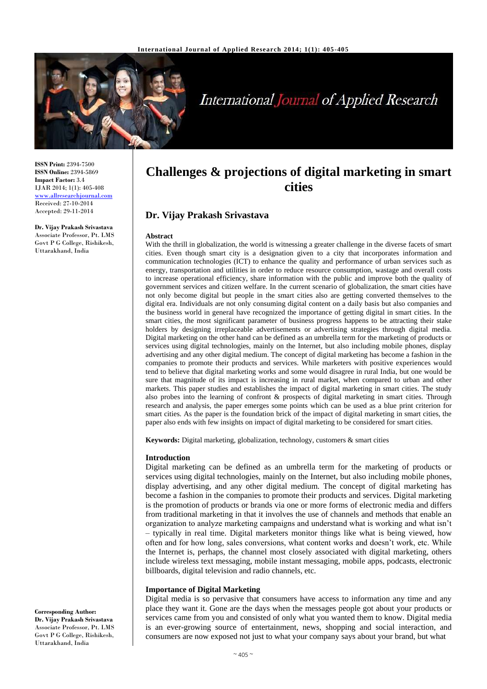

# International Journal of Applied Research

**ISSN Print:** 2394-7500 **ISSN Online:** 2394-5869 **Impact Factor:** 3.4 IJAR 2014; 1(1): 405-408 [www.allresearchjournal.com](http://www.allresearchjournal.com/) Received: 27-10-2014 Accepted: 29-11-2014

**Dr. Vijay Prakash Srivastava** Associate Professor, Pt. LMS Govt P G College, Rishikesh, Uttarakhand, India

# **Challenges & projections of digital marketing in smart cities**

# **Dr. Vijay Prakash Srivastava**

#### **Abstract**

With the thrill in globalization, the world is witnessing a greater challenge in the diverse facets of smart cities. Even though smart city is a designation given to a city that incorporates information and communication technologies (ICT) to enhance the quality and performance of urban services such as energy, transportation and utilities in order to reduce resource consumption, wastage and overall costs to increase operational efficiency, share information with the public and improve both the quality of government services and citizen welfare. In the current scenario of globalization, the smart cities have not only become digital but people in the smart cities also are getting converted themselves to the digital era. Individuals are not only consuming digital content on a daily basis but also companies and the business world in general have recognized the importance of getting digital in smart cities. In the smart cities, the most significant parameter of business progress happens to be attracting their stake holders by designing irreplaceable advertisements or advertising strategies through digital media. Digital marketing on the other hand can be defined as an umbrella term for the marketing of products or services using digital technologies, mainly on the Internet, but also including mobile phones, display advertising and any other digital medium. The concept of digital marketing has become a fashion in the companies to promote their products and services. While marketers with positive experiences would tend to believe that digital marketing works and some would disagree in rural India, but one would be sure that magnitude of its impact is increasing in rural market, when compared to urban and other markets. This paper studies and establishes the impact of digital marketing in smart cities. The study also probes into the learning of confront & prospects of digital marketing in smart cities. Through research and analysis, the paper emerges some points which can be used as a blue print criterion for smart cities. As the paper is the foundation brick of the impact of digital marketing in smart cities, the paper also ends with few insights on impact of digital marketing to be considered for smart cities.

**Keywords:** Digital marketing, globalization, technology, customers & smart cities

#### **Introduction**

Digital marketing can be defined as an umbrella term for the marketing of products or services using digital technologies, mainly on the Internet, but also including mobile phones, display advertising, and any other digital medium. The concept of digital marketing has become a fashion in the companies to promote their products and services. Digital marketing is the promotion of products or brands via one or more forms of electronic media and differs from traditional marketing in that it involves the use of channels and methods that enable an organization to analyze marketing campaigns and understand what is working and what isn't – typically in real time. Digital marketers monitor things like what is being viewed, how often and for how long, sales conversions, what content works and doesn't work, etc. While the Internet is, perhaps, the channel most closely associated with digital marketing, others include wireless text messaging, mobile instant messaging, mobile apps, podcasts, electronic billboards, digital television and radio channels, etc.

#### **Importance of Digital Marketing**

Digital media is so pervasive that consumers have access to information any time and any place they want it. Gone are the days when the messages people got about your products or services came from you and consisted of only what you wanted them to know. Digital media is an ever-growing source of entertainment, news, shopping and social interaction, and consumers are now exposed not just to what your company says about your brand, but what

**Corresponding Author:**

**Dr. Vijay Prakash Srivastava** Associate Professor, Pt. LMS Govt P G College, Rishikesh, Uttarakhand, India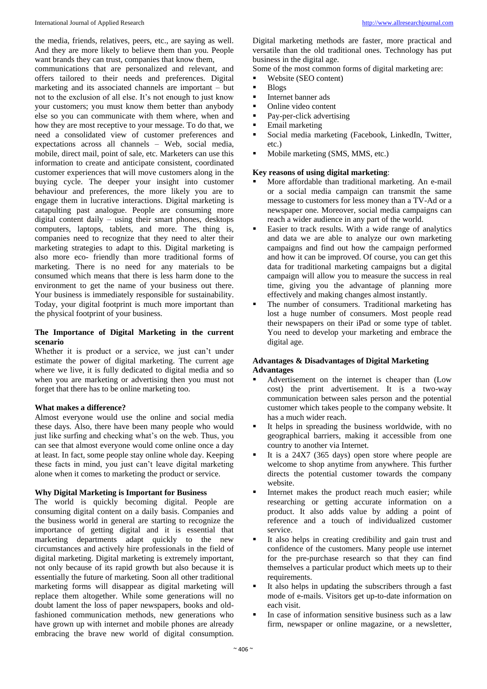the media, friends, relatives, peers, etc., are saying as well. And they are more likely to believe them than you. People want brands they can trust, companies that know them.

communications that are personalized and relevant, and offers tailored to their needs and preferences. Digital marketing and its associated channels are important – but not to the exclusion of all else. It's not enough to just know your customers; you must know them better than anybody else so you can communicate with them where, when and how they are most receptive to your message. To do that, we need a consolidated view of customer preferences and expectations across all channels – Web, social media, mobile, direct mail, point of sale, etc. Marketers can use this information to create and anticipate consistent, coordinated customer experiences that will move customers along in the buying cycle. The deeper your insight into customer behaviour and preferences, the more likely you are to engage them in lucrative interactions. Digital marketing is catapulting past analogue. People are consuming more digital content daily – using their smart phones, desktops computers, laptops, tablets, and more. The thing is, companies need to recognize that they need to alter their marketing strategies to adapt to this. Digital marketing is also more eco- friendly than more traditional forms of marketing. There is no need for any materials to be consumed which means that there is less harm done to the environment to get the name of your business out there. Your business is immediately responsible for sustainability. Today, your digital footprint is much more important than the physical footprint of your business.

# **The Importance of Digital Marketing in the current scenario**

Whether it is product or a service, we just can't under estimate the power of digital marketing. The current age where we live, it is fully dedicated to digital media and so when you are marketing or advertising then you must not forget that there has to be online marketing too.

#### **What makes a difference?**

Almost everyone would use the online and social media these days. Also, there have been many people who would just like surfing and checking what's on the web. Thus, you can see that almost everyone would come online once a day at least. In fact, some people stay online whole day. Keeping these facts in mind, you just can't leave digital marketing alone when it comes to marketing the product or service.

#### **Why Digital Marketing is Important for Business**

The world is quickly becoming digital. People are consuming digital content on a daily basis. Companies and the business world in general are starting to recognize the importance of getting digital and it is essential that marketing departments adapt quickly to the new circumstances and actively hire professionals in the field of digital marketing. Digital marketing is extremely important, not only because of its rapid growth but also because it is essentially the future of marketing. Soon all other traditional marketing forms will disappear as digital marketing will replace them altogether. While some generations will no doubt lament the loss of paper newspapers, books and oldfashioned communication methods, new generations who have grown up with internet and mobile phones are already embracing the brave new world of digital consumption.

Digital marketing methods are faster, more practical and versatile than the old traditional ones. Technology has put business in the digital age.

Some of the most common forms of digital marketing are:

- Website (SEO content)
- $B$ logs
- **Internet banner ads**
- Online video content
- Pay-per-click advertising
- **Email marketing**
- Social media marketing (Facebook, LinkedIn, Twitter, etc.)
- Mobile marketing (SMS, MMS, etc.)

#### **Key reasons of using digital marketing**:

- More affordable than traditional marketing. An e-mail or a social media campaign can transmit the same message to customers for less money than a TV-Ad or a newspaper one. Moreover, social media campaigns can reach a wider audience in any part of the world.
- Easier to track results. With a wide range of analytics and data we are able to analyze our own marketing campaigns and find out how the campaign performed and how it can be improved. Of course, you can get this data for traditional marketing campaigns but a digital campaign will allow you to measure the success in real time, giving you the advantage of planning more effectively and making changes almost instantly.
- The number of consumers. Traditional marketing has lost a huge number of consumers. Most people read their newspapers on their iPad or some type of tablet. You need to develop your marketing and embrace the digital age.

#### **Advantages & Disadvantages of Digital Marketing Advantages**

- Advertisement on the internet is cheaper than (Low cost) the print advertisement. It is a two-way communication between sales person and the potential customer which takes people to the company website. It has a much wider reach.
- It helps in spreading the business worldwide, with no geographical barriers, making it accessible from one country to another via Internet.
- It is a 24X7 (365 days) open store where people are welcome to shop anytime from anywhere. This further directs the potential customer towards the company website.
- Internet makes the product reach much easier; while researching or getting accurate information on a product. It also adds value by adding a point of reference and a touch of individualized customer service.
- It also helps in creating credibility and gain trust and confidence of the customers. Many people use internet for the pre-purchase research so that they can find themselves a particular product which meets up to their requirements.
- It also helps in updating the subscribers through a fast mode of e-mails. Visitors get up-to-date information on each visit.
- In case of information sensitive business such as a law firm, newspaper or online magazine, or a newsletter,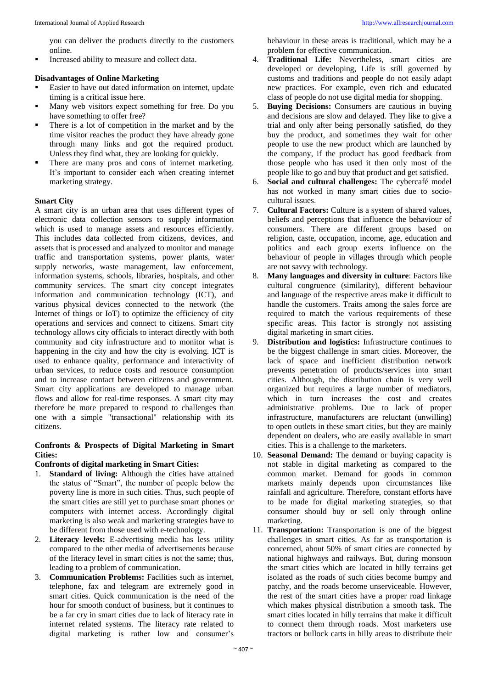you can deliver the products directly to the customers online.

Increased ability to measure and collect data.

# **Disadvantages of Online Marketing**

- Easier to have out dated information on internet, update timing is a critical issue here.
- Many web visitors expect something for free. Do you have something to offer free?
- There is a lot of competition in the market and by the time visitor reaches the product they have already gone through many links and got the required product. Unless they find what, they are looking for quickly.
- There are many pros and cons of internet marketing. It's important to consider each when creating internet marketing strategy.

#### **Smart City**

A smart city is an urban area that uses different types of electronic data collection sensors to supply information which is used to manage assets and resources efficiently. This includes data collected from citizens, devices, and assets that is processed and analyzed to monitor and manage traffic and transportation systems, power plants, water supply networks, waste management, law enforcement, information systems, schools, libraries, hospitals, and other community services. The smart city concept integrates information and communication technology (ICT), and various physical devices connected to the network (the Internet of things or IoT) to optimize the efficiency of city operations and services and connect to citizens. Smart city technology allows city officials to interact directly with both community and city infrastructure and to monitor what is happening in the city and how the city is evolving. ICT is used to enhance quality, performance and interactivity of urban services, to reduce costs and resource consumption and to increase contact between citizens and government. Smart city applications are developed to manage urban flows and allow for real-time responses. A smart city may therefore be more prepared to respond to challenges than one with a simple "transactional" relationship with its citizens.

# **Confronts & Prospects of Digital Marketing in Smart Cities:**

# **Confronts of digital marketing in Smart Cities:**

- 1. **Standard of living:** Although the cities have attained the status of "Smart", the number of people below the poverty line is more in such cities. Thus, such people of the smart cities are still yet to purchase smart phones or computers with internet access. Accordingly digital marketing is also weak and marketing strategies have to be different from those used with e-technology.
- 2. **Literacy levels:** E-advertising media has less utility compared to the other media of advertisements because of the literacy level in smart cities is not the same; thus, leading to a problem of communication.
- 3. **Communication Problems:** Facilities such as internet, telephone, fax and telegram are extremely good in smart cities. Quick communication is the need of the hour for smooth conduct of business, but it continues to be a far cry in smart cities due to lack of literacy rate in internet related systems. The literacy rate related to digital marketing is rather low and consumer's

behaviour in these areas is traditional, which may be a problem for effective communication.

- 4. **Traditional Life:** Nevertheless, smart cities are developed or developing, Life is still governed by customs and traditions and people do not easily adapt new practices. For example, even rich and educated class of people do not use digital media for shopping.
- 5. **Buying Decisions:** Consumers are cautious in buying and decisions are slow and delayed. They like to give a trial and only after being personally satisfied, do they buy the product, and sometimes they wait for other people to use the new product which are launched by the company, if the product has good feedback from those people who has used it then only most of the people like to go and buy that product and get satisfied.
- 6. **Social and cultural challenges:** The cybercafé model has not worked in many smart cities due to sociocultural issues.
- 7. **Cultural Factors:** Culture is a system of shared values, beliefs and perceptions that influence the behaviour of consumers. There are different groups based on religion, caste, occupation, income, age, education and politics and each group exerts influence on the behaviour of people in villages through which people are not savvy with technology.
- 8. **Many languages and diversity in culture**: Factors like cultural congruence (similarity), different behaviour and language of the respective areas make it difficult to handle the customers. Traits among the sales force are required to match the various requirements of these specific areas. This factor is strongly not assisting digital marketing in smart cities.
- 9. **Distribution and logistics:** Infrastructure continues to be the biggest challenge in smart cities. Moreover, the lack of space and inefficient distribution network prevents penetration of products/services into smart cities. Although, the distribution chain is very well organized but requires a large number of mediators, which in turn increases the cost and creates administrative problems. Due to lack of proper infrastructure, manufacturers are reluctant (unwilling) to open outlets in these smart cities, but they are mainly dependent on dealers, who are easily available in smart cities. This is a challenge to the marketers.
- 10. **Seasonal Demand:** The demand or buying capacity is not stable in digital marketing as compared to the common market. Demand for goods in common markets mainly depends upon circumstances like rainfall and agriculture. Therefore, constant efforts have to be made for digital marketing strategies, so that consumer should buy or sell only through online marketing.
- 11. **Transportation:** Transportation is one of the biggest challenges in smart cities. As far as transportation is concerned, about 50% of smart cities are connected by national highways and railways. But, during monsoon the smart cities which are located in hilly terrains get isolated as the roads of such cities become bumpy and patchy, and the roads become unserviceable. However, the rest of the smart cities have a proper road linkage which makes physical distribution a smooth task. The smart cities located in hilly terrains that make it difficult to connect them through roads. Most marketers use tractors or bullock carts in hilly areas to distribute their